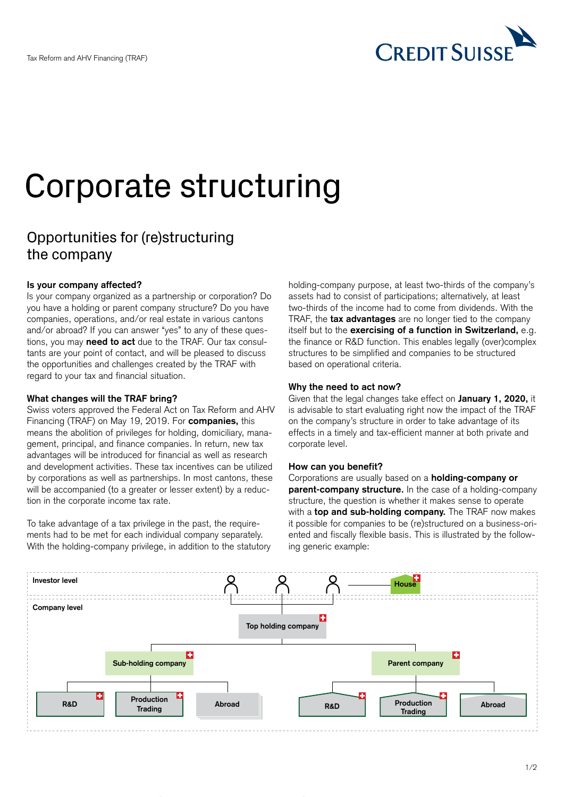

# Corporate structuring

# Opportunities for (re)structuring the company

# **Is your company affected?**

Is your company organized as a partnership or corporation? Do you have a holding or parent company structure? Do you have companies, operations, and/or real estate in various cantons and/or abroad? If you can answer "yes" to any of these questions, you may **need to act** due to the TRAF. Our tax consultants are your point of contact, and will be pleased to discuss the opportunities and challenges created by the TRAF with regard to your tax and financial situation.

#### **What changes will the TRAF bring?**

Swiss voters approved the Federal Act on Tax Reform and AHV Financing (TRAF) on May 19, 2019. For **companies,** this means the abolition of privileges for holding, domiciliary, management, principal, and finance companies. In return, new tax advantages will be introduced for financial as well as research and development activities. These tax incentives can be utilized by corporations as well as partnerships. In most cantons, these will be accompanied (to a greater or lesser extent) by a reduction in the corporate income tax rate.

To take advantage of a tax privilege in the past, the requirements had to be met for each individual company separately. With the holding-company privilege, in addition to the statutory holding-company purpose, at least two-thirds of the company's assets had to consist of participations; alternatively, at least two-thirds of the income had to come from dividends. With the TRAF, the **tax advantages** are no longer tied to the company itself but to the **exercising of a function in Switzerland,** e.g. the finance or R&D function. This enables legally (over)complex structures to be simplified and companies to be structured based on operational criteria.

# **Why the need to act now?**

Given that the legal changes take effect on **January 1, 2020,** it is advisable to start evaluating right now the impact of the TRAF on the company's structure in order to take advantage of its effects in a timely and tax-efficient manner at both private and corporate level.

# **How can you benefit?**

Corporations are usually based on a **holding-company or parent-company structure.** In the case of a holding-company structure, the question is whether it makes sense to operate with a **top and sub-holding company.** The TRAF now makes it possible for companies to be (re)structured on a business-oriented and fiscally flexible basis. This is illustrated by the following generic example: